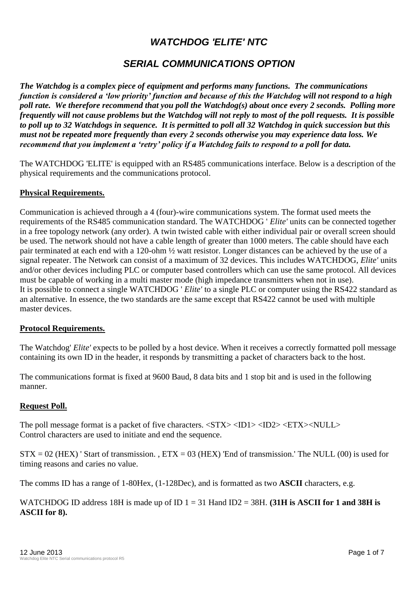# *WATCHDOG 'ELITE' NTC*

# *SERIAL COMMUNICATIONS OPTION*

*The Watchdog is a complex piece of equipment and performs many functions. The communications function is considered a 'low priority' function and because of this the Watchdog will not respond to a high poll rate. We therefore recommend that you poll the Watchdog(s) about once every 2 seconds. Polling more frequently will not cause problems but the Watchdog will not reply to most of the poll requests. It is possible to poll up to 32 Watchdogs in sequence. It is permitted to poll all 32 Watchdog in quick succession but this must not be repeated more frequently than every 2 seconds otherwise you may experience data loss. We recommend that you implement a 'retry' policy if a Watchdog fails to respond to a poll for data.*

The WATCHDOG 'ELITE' is equipped with an RS485 communications interface. Below is a description of the physical requirements and the communications protocol.

#### **Physical Requirements.**

Communication is achieved through a 4 (four)-wire communications system. The format used meets the requirements of the RS485 communication standard. The WATCHDOG ' *Elite'* units can be connected together in a free topology network (any order). A twin twisted cable with either individual pair or overall screen should be used. The network should not have a cable length of greater than 1000 meters. The cable should have each pair terminated at each end with a 120-ohm ½ watt resistor. Longer distances can be achieved by the use of a signal repeater. The Network can consist of a maximum of 32 devices. This includes WATCHDOG, *Elite'* units and/or other devices including PLC or computer based controllers which can use the same protocol. All devices must be capable of working in a multi master mode (high impedance transmitters when not in use). It is possible to connect a single WATCHDOG ' *Elite'* to a single PLC or computer using the RS422 standard as an alternative. In essence, the two standards are the same except that RS422 cannot be used with multiple master devices.

#### **Protocol Requirements.**

The Watchdog' *Elite'* expects to be polled by a host device. When it receives a correctly formatted poll message containing its own ID in the header, it responds by transmitting a packet of characters back to the host.

The communications format is fixed at 9600 Baud, 8 data bits and 1 stop bit and is used in the following manner.

#### **Request Poll.**

The poll message format is a packet of five characters.  $\langle STX \rangle \langle ID1 \rangle \langle ID2 \rangle \langle ETX \rangle \langle NULL \rangle$ Control characters are used to initiate and end the sequence.

 $STX = 02$  (HEX) ' Start of transmission. ,  $ETX = 03$  (HEX) 'End of transmission.' The NULL (00) is used for timing reasons and caries no value.

The comms ID has a range of 1-80Hex, (1-128Dec), and is formatted as two **ASCII** characters, e.g.

WATCHDOG ID address 18H is made up of ID 1 = 31 Hand ID2 = 38H. **(31H is ASCII for 1 and 38H is ASCII for 8).**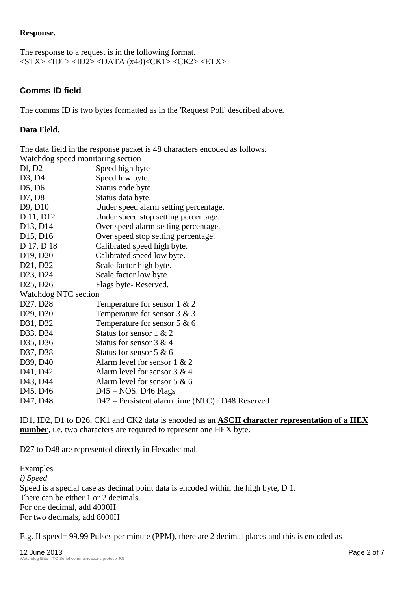# **Response.**

The response to a request is in the following format.  $\langle STX \rangle \langle ID1 \rangle \langle ID2 \rangle \langle DATA (x48) \langle CK1 \rangle \langle CK2 \rangle \langle ETX \rangle$ 

# **Comms ID field**

The comms ID is two bytes formatted as in the 'Request Poll' described above.

# **Data Field.**

The data field in the response packet is 48 characters encoded as follows. Watchdog speed monitoring section Dl, D2 Speed high byte D3, D4 Speed low byte. D5, D6 Status code byte. D7, D8 Status data byte. D9, D10 Under speed alarm setting percentage. D 11, D12 Under speed stop setting percentage. D13, D14 Over speed alarm setting percentage. D15, D16 Over speed stop setting percentage. D 17, D 18 Calibrated speed high byte. D19, D20 Calibrated speed low byte. D21, D22 Scale factor high byte. D23, D24 Scale factor low byte. D25, D26 Flags byte-Reserved. Watchdog NTC section D27, D28 Temperature for sensor 1 & 2 D29, D30 Temperature for sensor 3 & 3 D31, D32 Temperature for sensor 5 & 6 D33, D34 Status for sensor 1 & 2 D35, D36 Status for sensor  $3 \& 4$ D37, D38 Status for sensor  $5 \& 6$ D39, D40 Alarm level for sensor 1 & 2 D41, D42 Alarm level for sensor  $3 & 4$ D43, D44 Alarm level for sensor 5 & 6 D45, D46  $D45 = NOS: D46$  Flags D47, D48 D47 = Persistent alarm time (NTC) : D48 Reserved

ID1, ID2, D1 to D26, CK1 and CK2 data is encoded as an **ASCII character representation of a HEX number**, i.e. two characters are required to represent one HEX byte.

D27 to D48 are represented directly in Hexadecimal.

Examples *i) Speed*  Speed is a special case as decimal point data is encoded within the high byte, D 1. There can be either 1 or 2 decimals. For one decimal, add 4000H For two decimals, add 8000H

E.g. If speed= 99.99 Pulses per minute (PPM), there are 2 decimal places and this is encoded as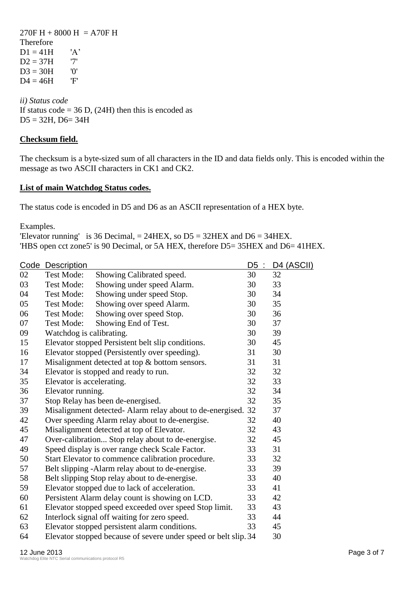$270F H + 8000 H = A70F H$ Therefore  $D1 = 41H$  'A'  $D2 = 37H$  '7'  $D3 = 30H$  '0'<br> $D4 = 46H$  'F'  $D4 = 46H$ 

*ii) Status code*  If status code =  $36$  D, (24H) then this is encoded as  $D5 = 32H$ ,  $D6 = 34H$ 

# **Checksum field.**

The checksum is a byte-sized sum of all characters in the ID and data fields only. This is encoded within the message as two ASCII characters in CK1 and CK2.

### **List of main Watchdog Status codes.**

The status code is encoded in D5 and D6 as an ASCII representation of a HEX byte.

Examples.

'Elevator running' is 36 Decimal,  $= 24$ HEX, so D5  $= 32$ HEX and D6  $= 34$ HEX. 'HBS open cct zone5' is 90 Decimal, or 5A HEX, therefore D5= 35HEX and D6= 41HEX.

|    | Code Description          |                                                                 | D5<br>$\sim$ | <b>D4 (ASCII)</b> |
|----|---------------------------|-----------------------------------------------------------------|--------------|-------------------|
| 02 | <b>Test Mode:</b>         | Showing Calibrated speed.                                       | 30           | 32                |
| 03 | <b>Test Mode:</b>         | Showing under speed Alarm.                                      | 30           | 33                |
| 04 | <b>Test Mode:</b>         | Showing under speed Stop.                                       | 30           | 34                |
| 05 | <b>Test Mode:</b>         | Showing over speed Alarm.                                       | 30           | 35                |
| 06 | <b>Test Mode:</b>         | Showing over speed Stop.                                        | 30           | 36                |
| 07 | <b>Test Mode:</b>         | Showing End of Test.                                            | 30           | 37                |
| 09 | Watchdog is calibrating.  |                                                                 | 30           | 39                |
| 15 |                           | Elevator stopped Persistent belt slip conditions.               | 30           | 45                |
| 16 |                           | Elevator stopped (Persistently over speeding).                  | 31           | 30                |
| 17 |                           | Misalignment detected at top & bottom sensors.                  | 31           | 31                |
| 34 |                           | Elevator is stopped and ready to run.                           | 32           | 32                |
| 35 | Elevator is accelerating. |                                                                 | 32           | 33                |
| 36 | Elevator running.         |                                                                 | 32           | 34                |
| 37 |                           | Stop Relay has been de-energised.                               | 32           | 35                |
| 39 |                           | Misalignment detected- Alarm relay about to de-energised.       | 32           | 37                |
| 42 |                           | Over speeding Alarm relay about to de-energise.                 | 32           | 40                |
| 45 |                           | Misalignment detected at top of Elevator.                       | 32           | 43                |
| 47 |                           | Over-calibration Stop relay about to de-energise.               | 32           | 45                |
| 49 |                           | Speed display is over range check Scale Factor.                 | 33           | 31                |
| 50 |                           | Start Elevator to commence calibration procedure.               | 33           | 32                |
| 57 |                           | Belt slipping -Alarm relay about to de-energise.                | 33           | 39                |
| 58 |                           | Belt slipping Stop relay about to de-energise.                  | 33           | 40                |
| 59 |                           | Elevator stopped due to lack of acceleration.                   | 33           | 41                |
| 60 |                           | Persistent Alarm delay count is showing on LCD.                 | 33           | 42                |
| 61 |                           | Elevator stopped speed exceeded over speed Stop limit.          | 33           | 43                |
| 62 |                           | Interlock signal off waiting for zero speed.                    | 33           | 44                |
| 63 |                           | Elevator stopped persistent alarm conditions.                   | 33           | 45                |
| 64 |                           | Elevator stopped because of severe under speed or belt slip. 34 |              | 30                |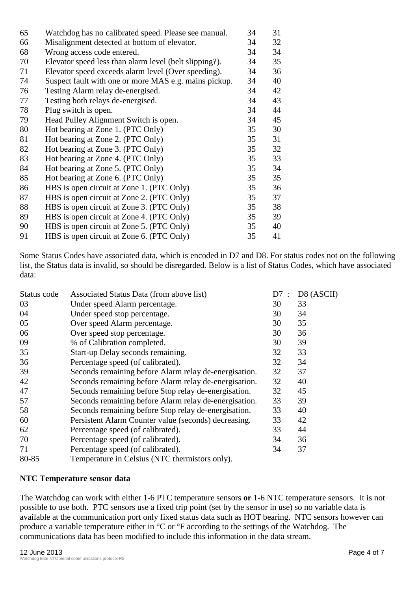| 65 | Watchdog has no calibrated speed. Please see manual.   | 34 | 31 |
|----|--------------------------------------------------------|----|----|
| 66 | Misalignment detected at bottom of elevator.           | 34 | 32 |
| 68 | Wrong access code entered.                             | 34 | 34 |
| 70 | Elevator speed less than alarm level (belt slipping?). | 34 | 35 |
| 71 | Elevator speed exceeds alarm level (Over speeding).    | 34 | 36 |
| 74 | Suspect fault with one or more MAS e.g. mains pickup.  | 34 | 40 |
| 76 | Testing Alarm relay de-energised.                      | 34 | 42 |
| 77 | Testing both relays de-energised.                      | 34 | 43 |
| 78 | Plug switch is open.                                   | 34 | 44 |
| 79 | Head Pulley Alignment Switch is open.                  | 34 | 45 |
| 80 | Hot bearing at Zone 1. (PTC Only)                      | 35 | 30 |
| 81 | Hot bearing at Zone 2. (PTC Only)                      | 35 | 31 |
| 82 | Hot bearing at Zone 3. (PTC Only)                      | 35 | 32 |
| 83 | Hot bearing at Zone 4. (PTC Only)                      | 35 | 33 |
| 84 | Hot bearing at Zone 5. (PTC Only)                      | 35 | 34 |
| 85 | Hot bearing at Zone 6. (PTC Only)                      | 35 | 35 |
| 86 | HBS is open circuit at Zone 1. (PTC Only)              | 35 | 36 |
| 87 | HBS is open circuit at Zone 2. (PTC Only)              | 35 | 37 |
| 88 | HBS is open circuit at Zone 3. (PTC Only)              | 35 | 38 |
| 89 | HBS is open circuit at Zone 4. (PTC Only)              | 35 | 39 |
| 90 | HBS is open circuit at Zone 5. (PTC Only)              | 35 | 40 |
| 91 | HBS is open circuit at Zone 6. (PTC Only)              | 35 | 41 |

Some Status Codes have associated data, which is encoded in D7 and D8. For status codes not on the following list, the Status data is invalid, so should be disregarded. Below is a list of Status Codes, which have associated data:

| Status code | Associated Status Data (from above list)              | D7 | D8 (ASCII) |
|-------------|-------------------------------------------------------|----|------------|
| 03          | Under speed Alarm percentage.                         | 30 | 33         |
| 04          | Under speed stop percentage.                          | 30 | 34         |
| 05          | Over speed Alarm percentage.                          | 30 | 35         |
| 06          | Over speed stop percentage.                           | 30 | 36         |
| 09          | % of Calibration completed.                           | 30 | 39         |
| 35          | Start-up Delay seconds remaining.                     | 32 | 33         |
| 36          | Percentage speed (of calibrated).                     | 32 | 34         |
| 39          | Seconds remaining before Alarm relay de-energisation. | 32 | 37         |
| 42          | Seconds remaining before Alarm relay de-energisation. | 32 | 40         |
| 47          | Seconds remaining before Stop relay de-energisation.  | 32 | 45         |
| 57          | Seconds remaining before Alarm relay de-energisation. | 33 | 39         |
| 58          | Seconds remaining before Stop relay de-energisation.  | 33 | 40         |
| 60          | Persistent Alarm Counter value (seconds) decreasing.  | 33 | 42         |
| 62          | Percentage speed (of calibrated).                     | 33 | 44         |
| 70          | Percentage speed (of calibrated).                     | 34 | 36         |
| 71          | Percentage speed (of calibrated).                     | 34 | 37         |
| 80-85       | Temperature in Celsius (NTC thermistors only).        |    |            |

#### **NTC Temperature sensor data**

The Watchdog can work with either 1-6 PTC temperature sensors **or** 1-6 NTC temperature sensors. It is not possible to use both. PTC sensors use a fixed trip point (set by the sensor in use) so no variable data is available at the communication port only fixed status data such as HOT bearing. NTC sensors however can produce a variable temperature either in °C or °F according to the settings of the Watchdog. The communications data has been modified to include this information in the data stream.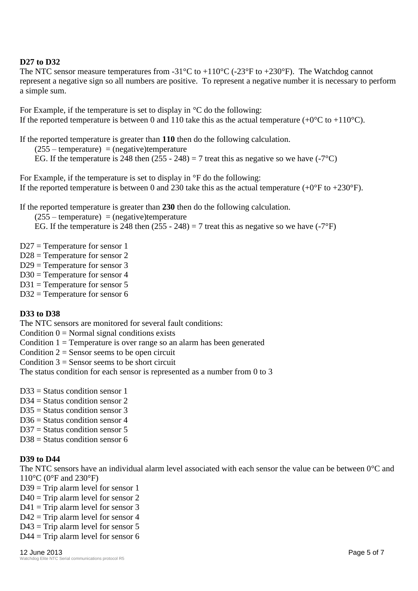# **D27 to D32**

The NTC sensor measure temperatures from -31 $^{\circ}$ C to +110 $^{\circ}$ C (-23 $^{\circ}$ F to +230 $^{\circ}$ F). The Watchdog cannot represent a negative sign so all numbers are positive. To represent a negative number it is necessary to perform a simple sum.

For Example, if the temperature is set to display in °C do the following: If the reported temperature is between 0 and 110 take this as the actual temperature  $(+0^{\circ}C \text{ to } +110^{\circ}C)$ .

If the reported temperature is greater than **110** then do the following calculation.

 $(255 - temperature) = (negative) temperature$ 

EG. If the temperature is 248 then  $(255 - 248) = 7$  treat this as negative so we have  $(-7^{\circ}C)$ 

For Example, if the temperature is set to display in °F do the following: If the reported temperature is between 0 and 230 take this as the actual temperature  $(+0^{\circ}$ F to  $+230^{\circ}$ F).

If the reported temperature is greater than **230** then do the following calculation.

 $(255 - temperature) = (negative)$ temperature

EG. If the temperature is 248 then  $(255 - 248) = 7$  treat this as negative so we have  $(-7^{\circ}F)$ 

- D27 = Temperature for sensor 1
- D28 = Temperature for sensor 2
- $D29$  = Temperature for sensor 3
- D30 = Temperature for sensor 4
- D31 = Temperature for sensor 5

D32 = Temperature for sensor 6

# **D33 to D38**

The NTC sensors are monitored for several fault conditions:

Condition  $0 = Normal$  signal conditions exists

Condition  $1 =$  Temperature is over range so an alarm has been generated

Condition  $2 =$  Sensor seems to be open circuit

Condition  $3 =$  Sensor seems to be short circuit

The status condition for each sensor is represented as a number from 0 to 3

- $D33 =$  Status condition sensor 1
- $D34 =$  Status condition sensor 2
- $D35 =$  Status condition sensor 3
- $D36 =$  Status condition sensor 4
- $D37$  = Status condition sensor 5
- $D38$  = Status condition sensor 6

# **D39 to D44**

The NTC sensors have an individual alarm level associated with each sensor the value can be between  $0^{\circ}$ C and 110°C (0°F and 230°F)

- $D39 =$ Trip alarm level for sensor 1
- $D40 =$ Trip alarm level for sensor 2
- $D41 =$ Trip alarm level for sensor 3
- $D42 =$ Trip alarm level for sensor 4
- D43 = Trip alarm level for sensor 5
- $D44 =$ Trip alarm level for sensor 6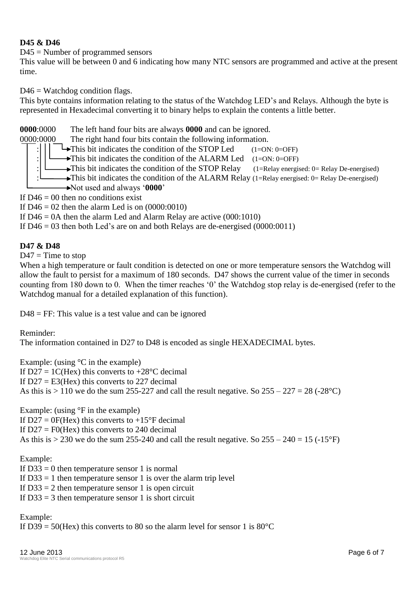# **D45 & D46**

D45 = Number of programmed sensors

This value will be between 0 and 6 indicating how many NTC sensors are programmed and active at the present time.

 $D46 = W$ atchdog condition flags.

This byte contains information relating to the status of the Watchdog LED's and Relays. Although the byte is represented in Hexadecimal converting it to binary helps to explain the contents a little better.

# **0000**:0000 The left hand four bits are always **0000** and can be ignored.

0000:0000 The right hand four bits contain the following information.

 $\rightarrow$ This bit indicates the condition of the STOP Led (1=ON: 0=OFF)

: $\Box$  This bit indicates the condition of the ALARM Led (1=ON: 0=OFF)

This bit indicates the condition of the STOP Relay  $(1=Relay$  energised: 0= Relay De-energised)

This bit indicates the condition of the ALARM Relay (1=Relay energised: 0= Relay De-energised)

Not used and always '**0000**'

If  $D46 = 00$  then no conditions exist

If  $D46 = 02$  then the alarm Led is on  $(0000:0010)$ 

If  $D46 = 0$ A then the alarm Led and Alarm Relay are active  $(000:1010)$ 

If  $D46 = 03$  then both Led's are on and both Relays are de-energised (0000:0011)

### **D47 & D48**

 $D47 =$ Time to stop

When a high temperature or fault condition is detected on one or more temperature sensors the Watchdog will allow the fault to persist for a maximum of 180 seconds. D47 shows the current value of the timer in seconds counting from 180 down to 0. When the timer reaches '0' the Watchdog stop relay is de-energised (refer to the Watchdog manual for a detailed explanation of this function).

 $D48 = FF$ : This value is a test value and can be ignored

Reminder:

The information contained in D27 to D48 is encoded as single HEXADECIMAL bytes.

Example: (using  $\mathrm{C}$  in the example) If  $D27 = 1C$ (Hex) this converts to  $+28$ °C decimal If  $D27 = E3$ (Hex) this converts to 227 decimal As this is  $> 110$  we do the sum 255-227 and call the result negative. So  $255 - 227 = 28$  (-28<sup>o</sup>C)

Example: (using °F in the example)

If  $D27 = 0F(Hex)$  this converts to  $+15^{\circ}F$  decimal If  $D27 = F0$ (Hex) this converts to 240 decimal As this is  $> 230$  we do the sum 255-240 and call the result negative. So  $255 - 240 = 15$  (-15°F)

Example:

If  $D33 = 0$  then temperature sensor 1 is normal

If  $D33 = 1$  then temperature sensor 1 is over the alarm trip level

If  $D33 = 2$  then temperature sensor 1 is open circuit

If  $D33 = 3$  then temperature sensor 1 is short circuit

Example:

If D39 = 50(Hex) this converts to 80 so the alarm level for sensor 1 is  $80^{\circ}$ C